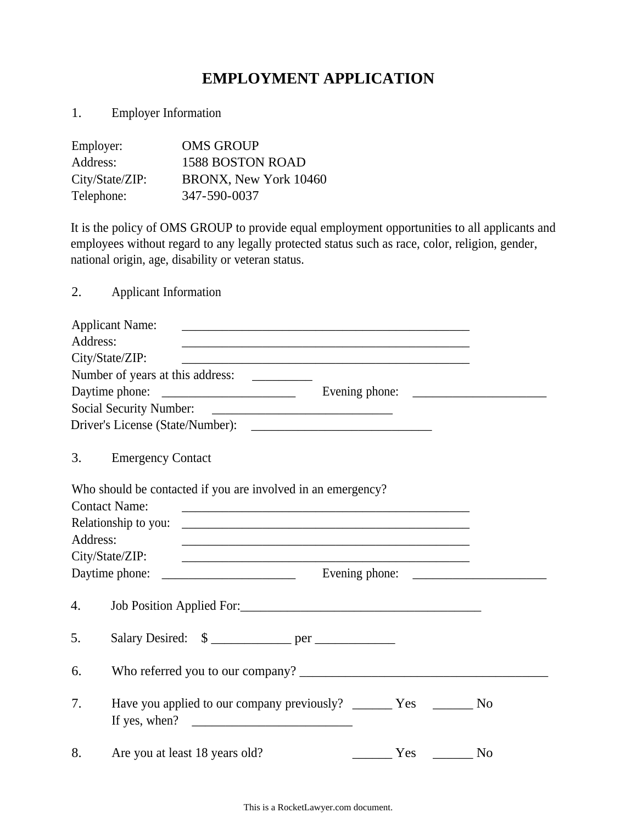## **EMPLOYMENT APPLICATION**

|  |  | <b>Employer Information</b> |
|--|--|-----------------------------|
|--|--|-----------------------------|

| Employer:       | <b>OMS GROUP</b>        |
|-----------------|-------------------------|
| Address:        | <b>1588 BOSTON ROAD</b> |
| City/State/ZIP: | BRONX, New York 10460   |
| Telephone:      | 347-590-0037            |

It is the policy of OMS GROUP to provide equal employment opportunities to all applicants and employees without regard to any legally protected status such as race, color, religion, gender, national origin, age, disability or veteran status.

2. Applicant Information

|          | <b>Applicant Name:</b>                                                                                                                       |                |
|----------|----------------------------------------------------------------------------------------------------------------------------------------------|----------------|
| Address: | <u> 1989 - Johann Stoff, amerikansk politiker (* 1908)</u>                                                                                   |                |
|          | City/State/ZIP:<br><u> 1989 - Johann Stoff, amerikansk politiker (d. 1989)</u>                                                               |                |
|          | Number of years at this address:                                                                                                             |                |
|          |                                                                                                                                              |                |
|          |                                                                                                                                              |                |
|          |                                                                                                                                              |                |
| 3.       | <b>Emergency Contact</b>                                                                                                                     |                |
|          | Who should be contacted if you are involved in an emergency?                                                                                 |                |
|          | <b>Contact Name:</b><br><u> 2000 - Jan James James Jan James James James James James James James James James James James James James Jam</u> |                |
|          |                                                                                                                                              |                |
| Address: | <u> 1989 - Johann Stoff, amerikansk politiker (d. 1989)</u>                                                                                  |                |
|          | City/State/ZIP:                                                                                                                              |                |
|          | Daytime phone:                                                                                                                               |                |
| 4.       | Job Position Applied For:                                                                                                                    |                |
| 5.       | Salary Desired: \$                                                                                                                           |                |
| 6.       |                                                                                                                                              |                |
| 7.       | Have you applied to our company previously? _________ Yes _________ No<br>If yes, when? $\qquad \qquad$                                      |                |
| 8.       | Are you at least 18 years old?                                                                                                               | N <sub>o</sub> |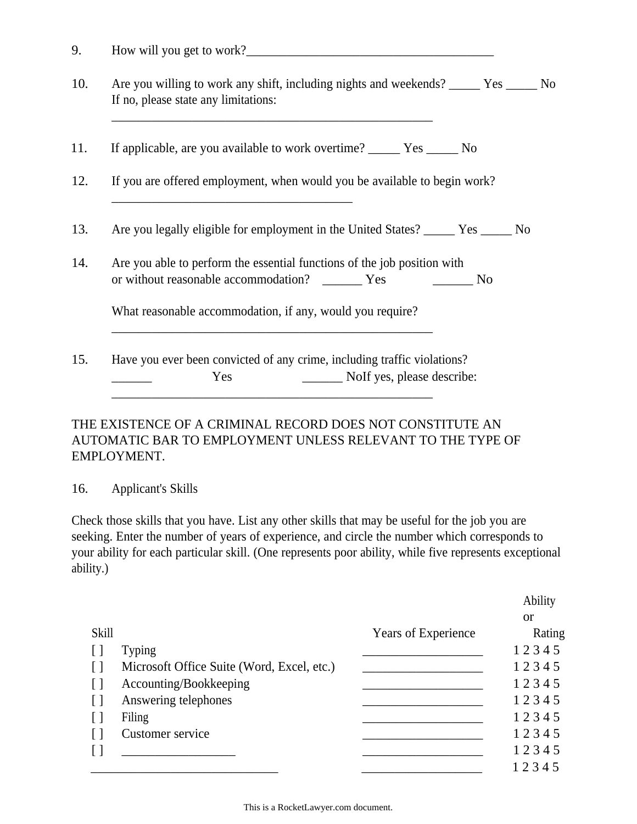| 9. | How will you get to work? |
|----|---------------------------|
|    |                           |

- If no, please state any limitations: 10. Are you willing to work any shift, including nights and weekends? \_\_\_\_\_ Yes \_\_\_\_\_ No
- 11. If applicable, are you available to work overtime? \_\_\_\_\_ Yes \_\_\_\_\_ No

\_\_\_\_\_\_\_\_\_\_\_\_\_\_\_\_\_\_\_\_\_\_\_\_\_\_\_\_\_\_\_\_\_\_\_\_

\_\_\_\_\_\_\_\_\_\_\_\_\_\_\_\_\_\_\_\_\_\_\_\_\_\_\_\_\_\_\_\_\_\_\_\_\_\_\_\_\_\_\_\_\_\_\_\_

- 12. If you are offered employment, when would you be available to begin work?
- 13. Are you legally eligible for employment in the United States? \_\_\_\_\_ Yes \_\_\_\_\_ No
- 14. Are you able to perform the essential functions of the job position with or without reasonable accommodation? \_\_\_\_\_\_\_ Yes \_\_\_\_\_\_\_\_ No

What reasonable accommodation, if any, would you require?

15. Have you ever been convicted of any crime, including traffic violations? Yes \_\_\_\_\_\_\_\_ NoIf yes, please describe:

\_\_\_\_\_\_\_\_\_\_\_\_\_\_\_\_\_\_\_\_\_\_\_\_\_\_\_\_\_\_\_\_\_\_\_\_\_\_\_\_\_\_\_\_\_\_\_\_

\_\_\_\_\_\_\_\_\_\_\_\_\_\_\_\_\_\_\_\_\_\_\_\_\_\_\_\_\_\_\_\_\_\_\_\_\_\_\_\_\_\_\_\_\_\_\_\_

## THE EXISTENCE OF A CRIMINAL RECORD DOES NOT CONSTITUTE AN AUTOMATIC BAR TO EMPLOYMENT UNLESS RELEVANT TO THE TYPE OF EMPLOYMENT.

#### 16. Applicant's Skills

Check those skills that you have. List any other skills that may be useful for the job you are seeking. Enter the number of years of experience, and circle the number which corresponds to your ability for each particular skill. (One represents poor ability, while five represents exceptional ability.)

|                                        |                                            |                     | Ability   |
|----------------------------------------|--------------------------------------------|---------------------|-----------|
|                                        |                                            |                     | <b>or</b> |
| <b>Skill</b>                           |                                            | Years of Experience | Rating    |
| $\begin{array}{c} \square \end{array}$ | <b>Typing</b>                              |                     | 12345     |
|                                        | Microsoft Office Suite (Word, Excel, etc.) |                     | 12345     |
| $\lceil$                               | Accounting/Bookkeeping                     |                     | 12345     |
| $\lceil$ $\rceil$                      | Answering telephones                       |                     | 12345     |
|                                        | Filing                                     |                     | 12345     |
|                                        | Customer service                           |                     | 12345     |
|                                        |                                            |                     | 12345     |
|                                        |                                            |                     | 12345     |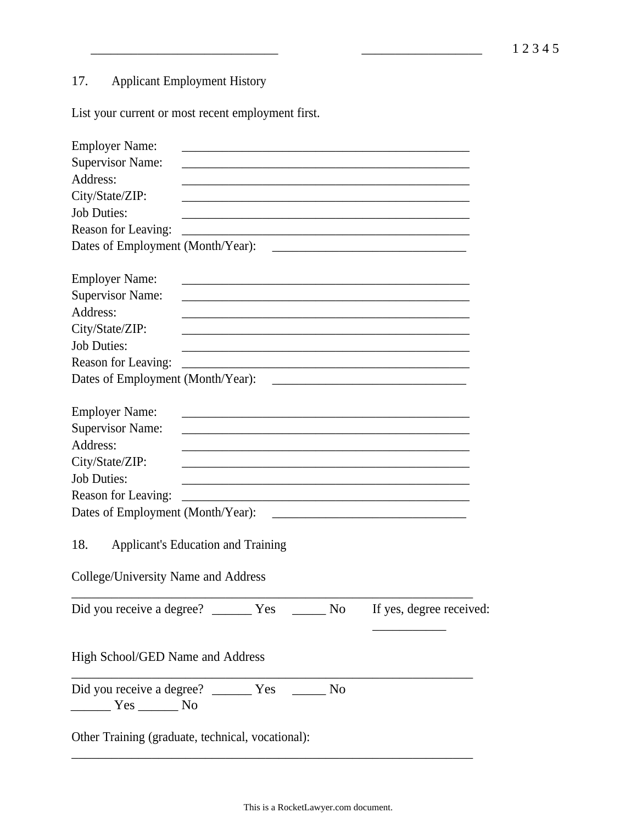# 17. Applicant Employment History

List your current or most recent employment first.

| <b>Employer Name:</b>                                                                                                                                                                                                                                |
|------------------------------------------------------------------------------------------------------------------------------------------------------------------------------------------------------------------------------------------------------|
| <b>Supervisor Name:</b>                                                                                                                                                                                                                              |
| Address:                                                                                                                                                                                                                                             |
| City/State/ZIP:                                                                                                                                                                                                                                      |
| <b>Job Duties:</b>                                                                                                                                                                                                                                   |
| Reason for Leaving:                                                                                                                                                                                                                                  |
|                                                                                                                                                                                                                                                      |
| <b>Employer Name:</b><br><u> 1989 - Johann John Stone, Amerikaansk politiker (</u>                                                                                                                                                                   |
| <b>Supervisor Name:</b>                                                                                                                                                                                                                              |
| Address:                                                                                                                                                                                                                                             |
| City/State/ZIP:                                                                                                                                                                                                                                      |
| <b>Job Duties:</b>                                                                                                                                                                                                                                   |
| Reason for Leaving:                                                                                                                                                                                                                                  |
| Dates of Employment (Month/Year):<br>the control of the control of the control of the control of the control of the control of                                                                                                                       |
| <b>Employer Name:</b><br><u> 1989 - Johann John Stone, mars et al. 1989 - John Stone, mars et al. 1989 - John Stone, mars et al. 1989 - Joh</u>                                                                                                      |
| <b>Supervisor Name:</b>                                                                                                                                                                                                                              |
| Address:                                                                                                                                                                                                                                             |
| City/State/ZIP:                                                                                                                                                                                                                                      |
| <b>Job Duties:</b><br>the control of the control of the control of the control of the control of the control of                                                                                                                                      |
| Reason for Leaving:<br>the control of the control of the control of the control of the control of the control of the control of the control of the control of the control of the control of the control of the control of the control of the control |
| Dates of Employment (Month/Year):                                                                                                                                                                                                                    |
| 18.<br><b>Applicant's Education and Training</b>                                                                                                                                                                                                     |
| College/University Name and Address                                                                                                                                                                                                                  |
|                                                                                                                                                                                                                                                      |
| High School/GED Name and Address                                                                                                                                                                                                                     |
| ______ Yes _______ No                                                                                                                                                                                                                                |
| Other Training (graduate, technical, vocational):                                                                                                                                                                                                    |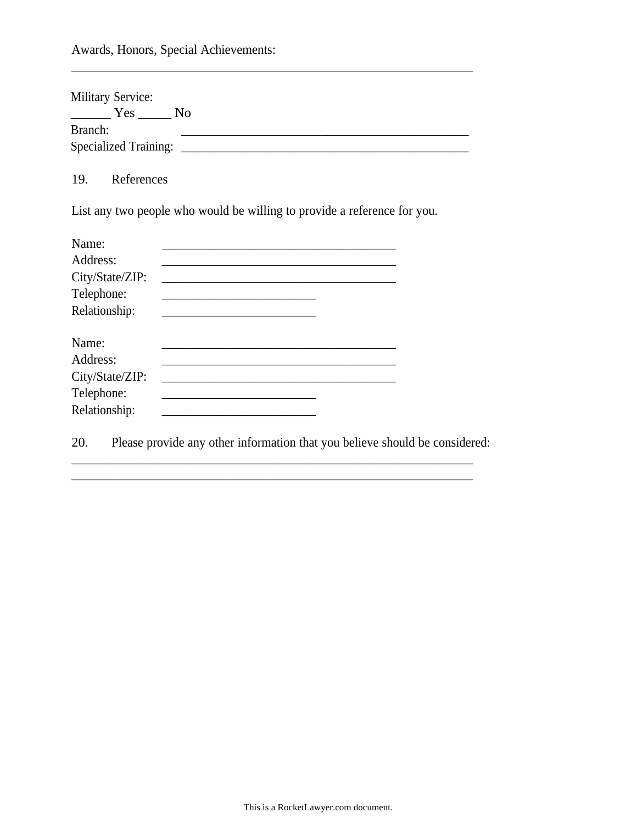Awards, Honors, Special Achievements:

| <b>Military Service:</b>     |                |
|------------------------------|----------------|
| Yes                          | N <sub>0</sub> |
| Branch:                      |                |
| <b>Specialized Training:</b> |                |

\_\_\_\_\_\_\_\_\_\_\_\_\_\_\_\_\_\_\_\_\_\_\_\_\_\_\_\_\_\_\_\_\_\_\_\_\_\_\_\_\_\_\_\_\_\_\_\_\_\_\_\_\_\_\_\_\_\_\_\_

19. References

List any two people who would be willing to provide a reference for you.

| Name:           |  |  |  |
|-----------------|--|--|--|
| Address:        |  |  |  |
| City/State/ZIP: |  |  |  |
| Telephone:      |  |  |  |
| Relationship:   |  |  |  |
| Name:           |  |  |  |
| Address:        |  |  |  |
| City/State/ZIP: |  |  |  |
| Telephone:      |  |  |  |
| Relationship:   |  |  |  |

20. Please provide any other information that you believe should be considered:

\_\_\_\_\_\_\_\_\_\_\_\_\_\_\_\_\_\_\_\_\_\_\_\_\_\_\_\_\_\_\_\_\_\_\_\_\_\_\_\_\_\_\_\_\_\_\_\_\_\_\_\_\_\_\_\_\_\_\_\_

\_\_\_\_\_\_\_\_\_\_\_\_\_\_\_\_\_\_\_\_\_\_\_\_\_\_\_\_\_\_\_\_\_\_\_\_\_\_\_\_\_\_\_\_\_\_\_\_\_\_\_\_\_\_\_\_\_\_\_\_